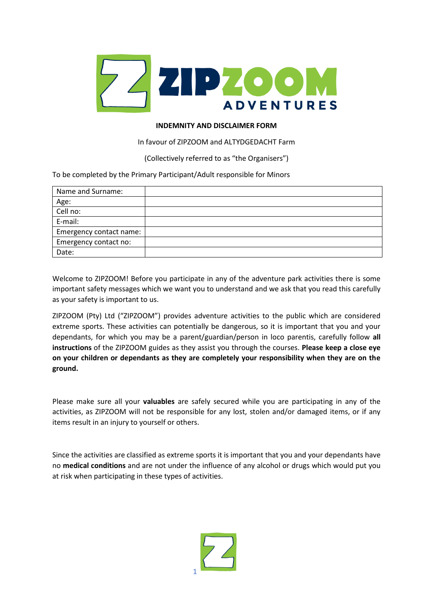

## **INDEMNITY AND DISCLAIMER FORM**

## In favour of ZIPZOOM and ALTYDGEDACHT Farm

(Collectively referred to as "the Organisers")

To be completed by the Primary Participant/Adult responsible for Minors

| Name and Surname:       |  |
|-------------------------|--|
| Age:                    |  |
| Cell no:                |  |
| E-mail:                 |  |
| Emergency contact name: |  |
| Emergency contact no:   |  |
| Date:                   |  |

Welcome to ZIPZOOM! Before you participate in any of the adventure park activities there is some important safety messages which we want you to understand and we ask that you read this carefully as your safety is important to us.

ZIPZOOM (Pty) Ltd ("ZIPZOOM") provides adventure activities to the public which are considered extreme sports. These activities can potentially be dangerous, so it is important that you and your dependants, for which you may be a parent/guardian/person in loco parentis, carefully follow **all instructions** of the ZIPZOOM guides as they assist you through the courses. **Please keep a close eye on your children or dependants as they are completely your responsibility when they are on the ground.**

Please make sure all your **valuables** are safely secured while you are participating in any of the activities, as ZIPZOOM will not be responsible for any lost, stolen and/or damaged items, or if any items result in an injury to yourself or others.

Since the activities are classified as extreme sports it is important that you and your dependants have no **medical conditions** and are not under the influence of any alcohol or drugs which would put you at risk when participating in these types of activities.